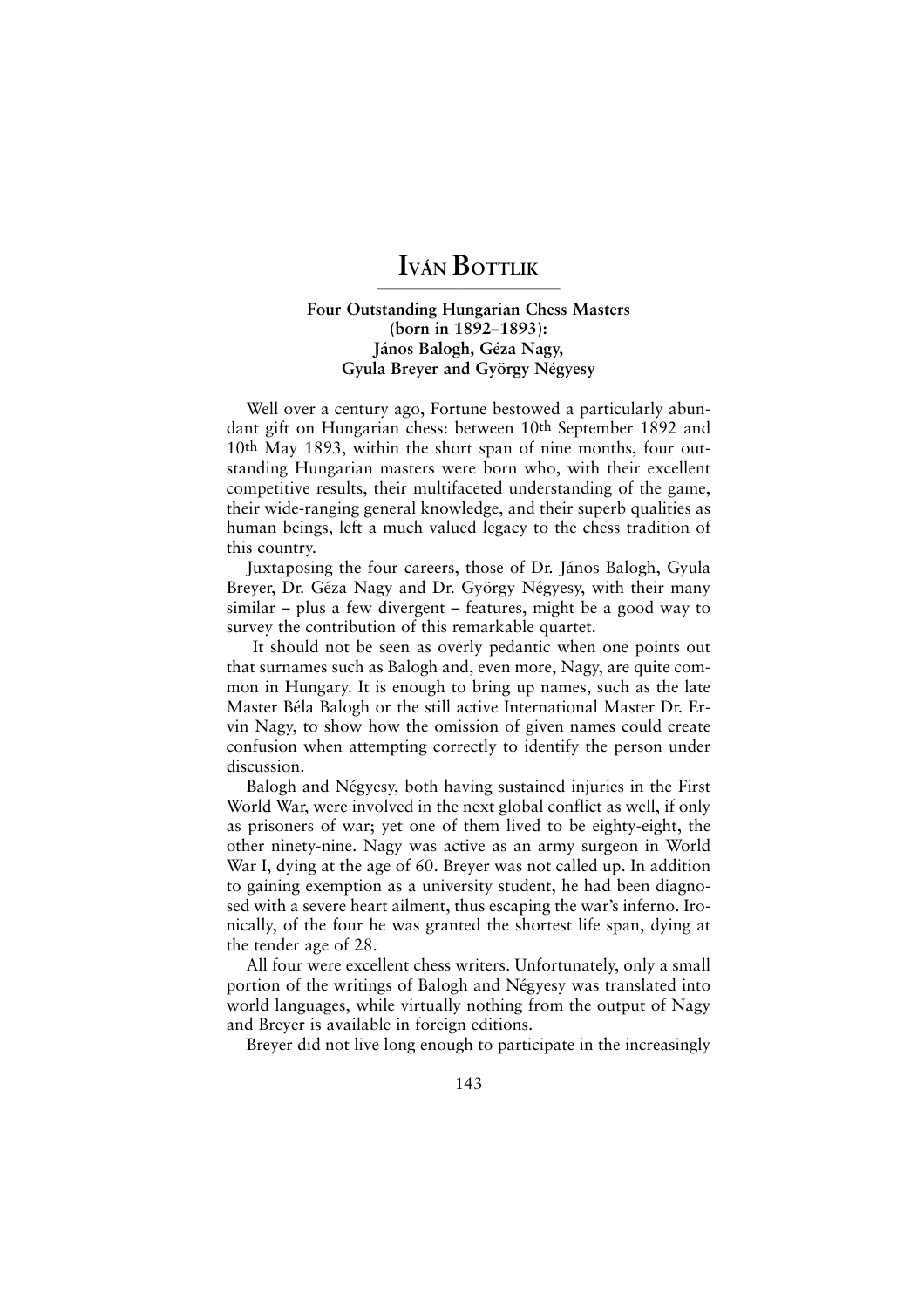## **IVÁN BOTTLIK ————————————————————————**

## **Four Outstanding Hungarian Chess Masters (born in 1892–1893): János Balogh, Géza Nagy, Gyula Breyer and György Négyesy**

Well over a century ago, Fortune bestowed a particularly abundant gift on Hungarian chess: between 10th September 1892 and 10th May 1893, within the short span of nine months, four outstanding Hungarian masters were born who, with their excellent competitive results, their multifaceted understanding of the game, their wide-ranging general knowledge, and their superb qualities as human beings, left a much valued legacy to the chess tradition of this country.

Juxtaposing the four careers, those of Dr. János Balogh, Gyula Breyer, Dr. Géza Nagy and Dr. György Négyesy, with their many similar – plus a few divergent – features, might be a good way to survey the contribution of this remarkable quartet.

It should not be seen as overly pedantic when one points out that surnames such as Balogh and, even more, Nagy, are quite common in Hungary. It is enough to bring up names, such as the late Master Béla Balogh or the still active International Master Dr. Ervin Nagy, to show how the omission of given names could create confusion when attempting correctly to identify the person under discussion.

Balogh and Négyesy, both having sustained injuries in the First World War, were involved in the next global conflict as well, if only as prisoners of war; yet one of them lived to be eighty-eight, the other ninety-nine. Nagy was active as an army surgeon in World War I, dying at the age of 60. Breyer was not called up. In addition to gaining exemption as a university student, he had been diagnosed with a severe heart ailment, thus escaping the war's inferno. Ironically, of the four he was granted the shortest life span, dying at the tender age of 28.

All four were excellent chess writers. Unfortunately, only a small portion of the writings of Balogh and Négyesy was translated into world languages, while virtually nothing from the output of Nagy and Breyer is available in foreign editions.

Breyer did not live long enough to participate in the increasingly